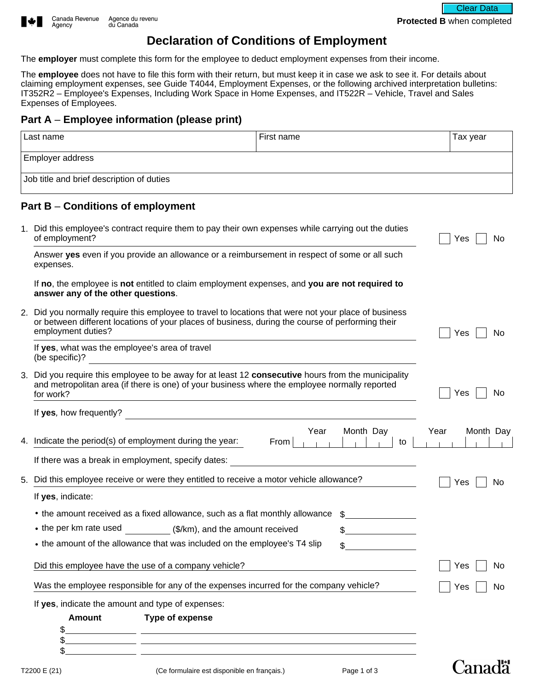

## **Declaration of Conditions of Employment**

The **employer** must complete this form for the employee to deduct employment expenses from their income.

The **employee** does not have to file this form with their return, but must keep it in case we ask to see it. For details about claiming employment expenses, see Guide T4044, Employment Expenses, or the following archived interpretation bulletins: IT352R2 – Employee's Expenses, Including Work Space in Home Expenses, and IT522R – Vehicle, Travel and Sales Expenses of Employees.

## **Part A** – **Employee information (please print)**

| l Last name                               | l First name | Tax year |  |  |  |  |
|-------------------------------------------|--------------|----------|--|--|--|--|
| <b>Employer address</b>                   |              |          |  |  |  |  |
| Job title and brief description of duties |              |          |  |  |  |  |
| Part B – Conditions of employment         |              |          |  |  |  |  |

|    | 1. Did this employee's contract require them to pay their own expenses while carrying out the duties<br>of employment?                                                                                                          | No<br>Yes         |  |
|----|---------------------------------------------------------------------------------------------------------------------------------------------------------------------------------------------------------------------------------|-------------------|--|
|    | Answer yes even if you provide an allowance or a reimbursement in respect of some or all such<br>expenses.                                                                                                                      |                   |  |
|    | If no, the employee is not entitled to claim employment expenses, and you are not required to<br>answer any of the other questions.                                                                                             |                   |  |
|    | 2. Did you normally require this employee to travel to locations that were not your place of business<br>or between different locations of your places of business, during the course of performing their<br>employment duties? | Yes<br>No         |  |
|    | If yes, what was the employee's area of travel<br>(be specific)?                                                                                                                                                                |                   |  |
|    | 3. Did you require this employee to be away for at least 12 consecutive hours from the municipality<br>and metropolitan area (if there is one) of your business where the employee normally reported<br>for work?               | Yes<br>No         |  |
|    | If yes, how frequently?                                                                                                                                                                                                         |                   |  |
|    | Year<br>Month Day<br>4. Indicate the period(s) of employment during the year:<br>From  <br>and and<br>to<br><b>College Hotel</b>                                                                                                | Year<br>Month Day |  |
|    | If there was a break in employment, specify dates:                                                                                                                                                                              |                   |  |
| 5. | Did this employee receive or were they entitled to receive a motor vehicle allowance?                                                                                                                                           | No<br>Yes         |  |
|    | If yes, indicate:                                                                                                                                                                                                               |                   |  |
|    | • the amount received as a fixed allowance, such as a flat monthly allowance                                                                                                                                                    |                   |  |
|    | • the per km rate used (\$/km), and the amount received                                                                                                                                                                         |                   |  |
|    | • the amount of the allowance that was included on the employee's T4 slip<br>\$                                                                                                                                                 |                   |  |
|    | Did this employee have the use of a company vehicle?                                                                                                                                                                            | Yes<br>No         |  |
|    | Was the employee responsible for any of the expenses incurred for the company vehicle?                                                                                                                                          | No<br>Yes         |  |
|    | If yes, indicate the amount and type of expenses:                                                                                                                                                                               |                   |  |
|    | <b>Amount</b><br>Type of expense                                                                                                                                                                                                |                   |  |
|    | <u> 1989 - Andrea Andrea Andrea Andrea Andrea Andrea Andrea Andrea Andrea Andrea Andrea Andrea Andrea Andrea Andr</u>                                                                                                           |                   |  |
|    | \$.<br><u> 1999 - Johann John Stone, mars et al. 1999 - John Stone, mars et al. 1999 - John Stone, mars et al. 1999 - John Stone</u>                                                                                            |                   |  |

Canadä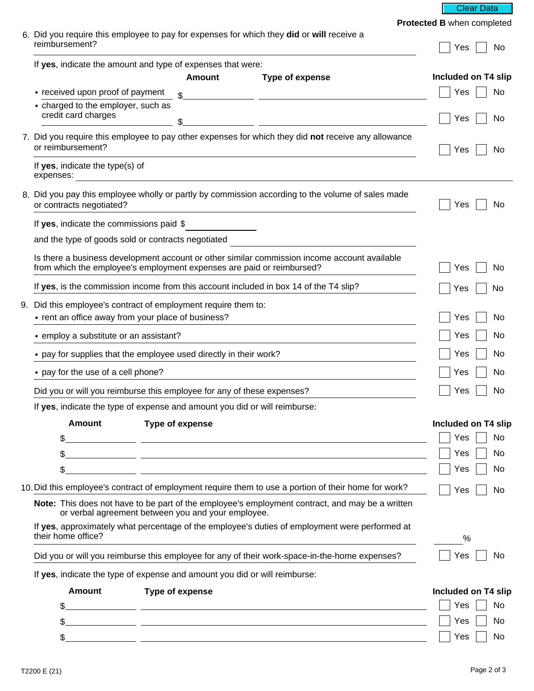**Clear Data** 

**Protected B** when completed

| 6. Did you require this employee to pay for expenses for which they did or will receive a<br>reimbursement?              |                 |                                                                                                                        | Yes<br>No           |
|--------------------------------------------------------------------------------------------------------------------------|-----------------|------------------------------------------------------------------------------------------------------------------------|---------------------|
| If yes, indicate the amount and type of expenses that were:                                                              |                 |                                                                                                                        |                     |
|                                                                                                                          | <b>Amount</b>   | Type of expense                                                                                                        | Included on T4 slip |
| • received upon proof of payment                                                                                         | \$              | <u> 1989 - Johann John Stone, mars et al. 1989 - John Stone, mars et al. 1989 - John Stone, mars et al. 1989 - Joh</u> | Yes<br>No           |
| • charged to the employer, such as<br>credit card charges                                                                | \$              | <u> 1999 - Johann Barbara, martxa amerikan per</u>                                                                     | No<br>Yes           |
| 7. Did you require this employee to pay other expenses for which they did not receive any allowance<br>or reimbursement? | Yes<br>No       |                                                                                                                        |                     |
| If yes, indicate the type(s) of<br>expenses:<br><u> 1980 - Andrea Andrew Maria (h. 1980).</u>                            |                 |                                                                                                                        |                     |
| or contracts negotiated?                                                                                                 |                 | 8. Did you pay this employee wholly or partly by commission according to the volume of sales made                      | Yes<br>No           |
| If yes, indicate the commissions paid \$                                                                                 |                 |                                                                                                                        |                     |
| and the type of goods sold or contracts negotiated                                                                       |                 |                                                                                                                        |                     |
| from which the employee's employment expenses are paid or reimbursed?                                                    |                 | Is there a business development account or other similar commission income account available                           | Yes<br>No           |
| If yes, is the commission income from this account included in box 14 of the T4 slip?                                    |                 |                                                                                                                        | Yes<br>No           |
| 9. Did this employee's contract of employment require them to:                                                           |                 |                                                                                                                        |                     |
| • rent an office away from your place of business?                                                                       |                 | Yes<br>No                                                                                                              |                     |
| • employ a substitute or an assistant?                                                                                   |                 |                                                                                                                        | No<br>Yes           |
| • pay for supplies that the employee used directly in their work?                                                        |                 |                                                                                                                        | No<br>Yes           |
| • pay for the use of a cell phone?                                                                                       |                 |                                                                                                                        | No<br>Yes           |
| Did you or will you reimburse this employee for any of these expenses?                                                   |                 |                                                                                                                        | Yes<br>No           |
| If yes, indicate the type of expense and amount you did or will reimburse:                                               |                 |                                                                                                                        |                     |
| Amount Type of expense                                                                                                   |                 |                                                                                                                        | Included on T4 slip |
| \$.                                                                                                                      |                 | <u> 1989 - Johann Barbara, martxa alemaniar amerikan personal (h. 1989).</u>                                           | Yes<br>No           |
| \$                                                                                                                       |                 | <u> 1989 - Johann John Stone, markin sanat masjid asl nashrida asl nashrida asl nashrida asl nashrida asl nashri</u>   | Yes<br>No           |
| \$.                                                                                                                      |                 | <u> 1989 - Johann Stein, mars et al. 1989 - Anna ann an Carl ann an t-Alban ann an t-Alban ann an t-Alban ann an</u>   | No<br>Yes           |
|                                                                                                                          |                 | 10. Did this employee's contract of employment require them to use a portion of their home for work?                   | Yes<br>No           |
| or verbal agreement between you and your employee.                                                                       |                 | Note: This does not have to be part of the employee's employment contract, and may be a written                        |                     |
| their home office?                                                                                                       |                 | If yes, approximately what percentage of the employee's duties of employment were performed at                         | %                   |
|                                                                                                                          |                 | Did you or will you reimburse this employee for any of their work-space-in-the-home expenses?                          | Yes<br>No           |
| If yes, indicate the type of expense and amount you did or will reimburse:                                               |                 |                                                                                                                        |                     |
| <b>Amount</b>                                                                                                            | Type of expense |                                                                                                                        | Included on T4 slip |
| \$.                                                                                                                      |                 | <u> 1989 - Johann Stein, mars et al. (b. 1989)</u>                                                                     | Yes<br>No           |
| \$.                                                                                                                      |                 | <u> 1989 - Johann Johann Stoff, deutscher Stoffen und der Stoffen und der Stoffen und der Stoffen und der Stoffen</u>  | Yes<br>No           |
| \$.                                                                                                                      |                 | <u> 1989 - Andrea Andrew Maria (h. 1989).</u>                                                                          | Yes<br>No           |